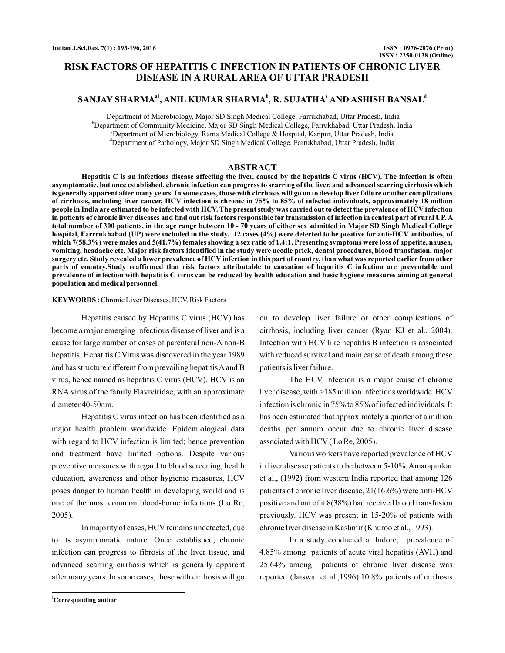# **RISK FACTORS OF HEPATITIS C INFECTION IN PATIENTS OF CHRONIC LIVER DISEASE IN A RURAL AREA OF UTTAR PRADESH**

# SANJAY SHARMA<sup>a1</sup>, ANIL KUMAR SHARMA<sup>b</sup>, R. SUJATHA<sup>c</sup> AND ASHISH BANSAL<sup>d</sup>

a Department of Microbiology, Major SD Singh Medical College, Farrukhabad, Uttar Pradesh, India b Department of Community Medicine, Major SD Singh Medical College, Farrukhabad, Uttar Pradesh, India c Department of Microbiology, Rama Medical College & Hospital, Kanpur, Uttar Pradesh, India d Department of Pathology, Major SD Singh Medical College, Farrukhabad, Uttar Pradesh, India

#### **ABSTRACT**

**Hepatitis C is an infectious disease affecting the liver, caused by the hepatitis C virus (HCV). The infection is often asymptomatic, but once established, chronic infection can progress to scarring of the liver, and advanced scarring cirrhosis which is generally apparent after many years. In some cases, those with cirrhosis will go on to develop liver failure or other complications of cirrhosis, including liver cancer, HCV infection is chronic in 75% to 85% of infected individuals, approximately 18 million people in India are estimated to be infected with HCV. The present study was carried out to detect the prevalence of HCV infection in patients of chronic liver diseases and find out risk factors responsible for transmission of infection in central part of rural UP. A total number of 300 patients, in the age range between 10 - 70 years of either sex admitted in Major SD Singh Medical College hospital, Farrrukhabad (UP) were included in the study. 12 cases (4%) were detected to be positive for anti-HCV antibodies, of which 7(58.3%) were males and 5(41.7%) females showing a sex ratio of 1.4:1. Presenting symptoms were loss of appetite, nausea, vomiting, headache etc. Major risk factors identified in the study were needle prick, dental procedures, blood transfusion, major surgery etc. Study revealed a lower prevalence of HCV infection in this part of country, than what was reported earlier from other parts of country.Study reaffirmed that risk factors attributable to causation of hepatitis C infection are preventable and prevalence of infection with hepatitis C virus can be reduced by health education and basic hygiene measures aiming at general population and medical personnel.**

#### **KEYWORDS**: Chronic Liver Diseases, HCV, Risk Factors

Hepatitis caused by Hepatitis C virus (HCV) has become a major emerging infectious disease of liver and is a cause for large number of cases of parenteral non-A non-B hepatitis. Hepatitis C Virus was discovered in the year 1989 and has structure different from prevailing hepatitis A and B virus, hence named as hepatitis C virus (HCV). HCV is an RNA virus of the family Flaviviridae, with an approximate diameter 40-50nm.

Hepatitis C virus infection has been identified as a major health problem worldwide. Epidemiological data with regard to HCV infection is limited; hence prevention and treatment have limited options. Despite various preventive measures with regard to blood screening, health education, awareness and other hygienic measures, HCV poses danger to human health in developing world and is one of the most common blood-borne infections (Lo Re, 2005).

In majority of cases, HCV remains undetected, due to its asymptomatic nature. Once established, chronic infection can progress to fibrosis of the liver tissue, and advanced scarring cirrhosis which is generally apparent after many years. In some cases, those with cirrhosis will go

on to develop liver failure or other complications of cirrhosis, including liver cancer (Ryan KJ et al., 2004). Infection with HCV like hepatitis B infection is associated with reduced survival and main cause of death among these patients is liver failure.

The HCV infection is a major cause of chronic liver disease, with >185 million infections worldwide. HCV infection is chronic in 75% to 85% of infected individuals. It has been estimated that approximately a quarter of a million deaths per annum occur due to chronic liver disease associated with HCV ( Lo Re, 2005).

Various workers have reported prevalence of HCV in liver disease patients to be between 5-10%. Amarapurkar et al., (1992) from western India reported that among 126 patients of chronic liver disease, 21(16.6%) were anti-HCV positive and out of it 8(38%) had received blood transfusion previously. HCV was present in 15-20% of patients with chronic liver disease in Kashmir (Khuroo et al., 1993).

In a study conducted at Indore, prevalence of 4.85% among patients of acute viral hepatitis (AVH) and 25.64% among patients of chronic liver disease was reported (Jaiswal et al.,1996).10.8% patients of cirrhosis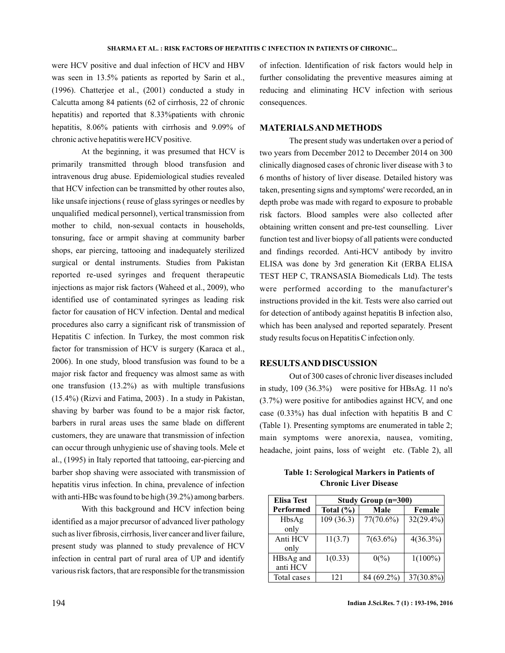were HCV positive and dual infection of HCV and HBV was seen in 13.5% patients as reported by Sarin et al., (1996). Chatterjee et al., (2001) conducted a study in Calcutta among 84 patients (62 of cirrhosis, 22 of chronic hepatitis) and reported that 8.33%patients with chronic hepatitis, 8.06% patients with cirrhosis and 9.09% of chronic active hepatitis were HCV positive.

At the beginning, it was presumed that HCV is primarily transmitted through blood transfusion and intravenous drug abuse. Epidemiological studies revealed that HCV infection can be transmitted by other routes also, like unsafe injections ( reuse of glass syringes or needles by unqualified medical personnel), vertical transmission from mother to child, non-sexual contacts in households, tonsuring, face or armpit shaving at community barber shops, ear piercing, tattooing and inadequately sterilized surgical or dental instruments. Studies from Pakistan reported re-used syringes and frequent therapeutic injections as major risk factors (Waheed et al., 2009), who identified use of contaminated syringes as leading risk factor for causation of HCV infection. Dental and medical procedures also carry a significant risk of transmission of Hepatitis C infection. In Turkey, the most common risk factor for transmission of HCV is surgery (Karaca et al., 2006). In one study, blood transfusion was found to be a major risk factor and frequency was almost same as with one transfusion (13.2%) as with multiple transfusions (15.4%) (Rizvi and Fatima, 2003) . In a study in Pakistan, shaving by barber was found to be a major risk factor, barbers in rural areas uses the same blade on different customers, they are unaware that transmission of infection can occur through unhygienic use of shaving tools. Mele et al., (1995) in Italy reported that tattooing, ear-piercing and barber shop shaving were associated with transmission of hepatitis virus infection. In china, prevalence of infection with anti-HBc was found to be high (39.2%) among barbers.

With this background and HCV infection being identified as a major precursor of advanced liver pathology such as liver fibrosis, cirrhosis, liver cancer and liver failure, present study was planned to study prevalence of HCV infection in central part of rural area of UP and identify various risk factors, that are responsible for the transmission

of infection. Identification of risk factors would help in further consolidating the preventive measures aiming at reducing and eliminating HCV infection with serious consequences.

### **MATERIALSAND METHODS**

The present study was undertaken over a period of two years from December 2012 to December 2014 on 300 clinically diagnosed cases of chronic liver disease with 3 to 6 months of history of liver disease. Detailed history was taken, presenting signs and symptoms' were recorded, an in depth probe was made with regard to exposure to probable risk factors. Blood samples were also collected after obtaining written consent and pre-test counselling. Liver function test and liver biopsy of all patients were conducted and findings recorded. Anti-HCV antibody by invitro ELISA was done by 3rd generation Kit (ERBA ELISA TEST HEP C, TRANSASIA Biomedicals Ltd). The tests were performed according to the manufacturer's instructions provided in the kit. Tests were also carried out for detection of antibody against hepatitis B infection also, which has been analysed and reported separately. Present study results focus on Hepatitis C infection only.

#### **RESULTSAND DISCUSSION**

Out of 300 cases of chronic liver diseases included in study, 109 (36.3%) were positive for HBsAg. 11 no's (3.7%) were positive for antibodies against HCV, and one case (0.33%) has dual infection with hepatitis B and C (Table 1). Presenting symptoms are enumerated in table 2; main symptoms were anorexia, nausea, vomiting, headache, joint pains, loss of weight etc. (Table 2), all

**Table 1: Serological Markers in Patients of Chronic Liver Disease**

| <b>Elisa Test</b>     | Study Group (n=300) |                  |              |
|-----------------------|---------------------|------------------|--------------|
| Performed             | Total $(\% )$       | Male             | Female       |
| HbsAg<br>only         | 109(36.3)           | $77(70.6\%)$     | $32(29.4\%)$ |
| Anti HCV<br>only      | 11(3.7)             | $7(63.6\%)$      | $4(36.3\%)$  |
| HBsAg and<br>anti HCV | 1(0.33)             | $0\frac{\%}{\%}$ | $1(100\%)$   |
| Total cases           | 121                 | 84 (69.2%)       | 37(30.8%)    |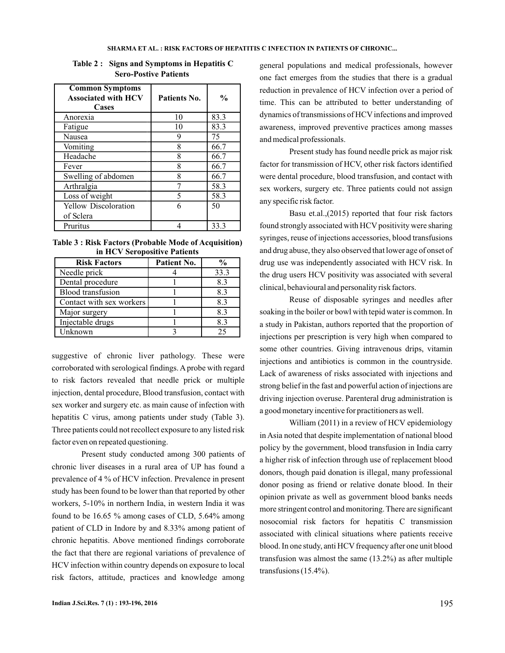| <b>Common Symptoms</b><br><b>Associated with HCV</b><br>Cases | Patients No. | $\frac{0}{0}$ |
|---------------------------------------------------------------|--------------|---------------|
| Anorexia                                                      | 10           | 83.3          |
| Fatigue                                                       | 10           | 83.3          |
| Nausea                                                        | 9            | 75            |
| Vomiting                                                      | 8            | 66.7          |
| Headache                                                      | 8            | 66.7          |
| Fever                                                         | 8            | 66.7          |
| Swelling of abdomen                                           | 8            | 66.7          |
| Arthralgia                                                    |              | 58.3          |
| Loss of weight                                                | 5            | 58.3          |
| Yellow Discoloration                                          | 6            | 50            |
| of Sclera                                                     |              |               |
| Pruritus                                                      |              | 33.3          |

**Table 2 : Signs and Symptoms in Hepatitis C Sero-Postive Patients**

**Table 3 : Risk Factors (Probable Mode of Acquisition) in HCV Seropositive Patients**

| <b>Risk Factors</b>      | Patient No. | $\frac{0}{0}$ |
|--------------------------|-------------|---------------|
| Needle prick             |             | 33.3          |
| Dental procedure         |             | 8.3           |
| Blood transfusion        |             | 8.3           |
| Contact with sex workers |             | 8.3           |
| Major surgery            |             | 8.3           |
| Injectable drugs         |             | 8.3           |
| Unknown                  |             | 25            |

suggestive of chronic liver pathology. These were corroborated with serological findings. A probe with regard to risk factors revealed that needle prick or multiple injection, dental procedure, Blood transfusion, contact with sex worker and surgery etc. as main cause of infection with hepatitis C virus, among patients under study (Table 3). Three patients could not recollect exposure to any listed risk factor even on repeated questioning.

Present study conducted among 300 patients of chronic liver diseases in a rural area of UP has found a prevalence of 4 % of HCV infection. Prevalence in present study has been found to be lower than that reported by other workers, 5-10% in northern India, in western India it was found to be 16.65 % among cases of CLD, 5.64% among patient of CLD in Indore by and 8.33% among patient of chronic hepatitis. Above mentioned findings corroborate the fact that there are regional variations of prevalence of HCV infection within country depends on exposure to local risk factors, attitude, practices and knowledge among

general populations and medical professionals, however one fact emerges from the studies that there is a gradual reduction in prevalence of HCV infection over a period of time. This can be attributed to better understanding of dynamics of transmissions of HCV infections and improved awareness, improved preventive practices among masses and medical professionals.

Present study has found needle prick as major risk factor for transmission of HCV, other risk factors identified were dental procedure, blood transfusion, and contact with sex workers, surgery etc. Three patients could not assign any specific risk factor.

Basu et.al.,(2015) reported that four risk factors found strongly associated with HCV positivity were sharing syringes, reuse of injections accessories, blood transfusions and drug abuse, they also observed that lower age of onset of drug use was independently associated with HCV risk. In the drug users HCV positivity was associated with several clinical, behavioural and personality risk factors.

Reuse of disposable syringes and needles after soaking in the boiler or bowl with tepid water is common. In a study in Pakistan, authors reported that the proportion of injections per prescription is very high when compared to some other countries. Giving intravenous drips, vitamin injections and antibiotics is common in the countryside. Lack of awareness of risks associated with injections and strong belief in the fast and powerful action of injections are driving injection overuse. Parenteral drug administration is a good monetary incentive for practitioners as well.

William (2011) in a review of HCV epidemiology in Asia noted that despite implementation of national blood policy by the government, blood transfusion in India carry a higher risk of infection through use of replacement blood donors, though paid donation is illegal, many professional donor posing as friend or relative donate blood. In their opinion private as well as government blood banks needs more stringent control and monitoring. There are significant nosocomial risk factors for hepatitis C transmission associated with clinical situations where patients receive blood. In one study, anti HCV frequency after one unit blood transfusion was almost the same (13.2%) as after multiple transfusions (15.4%).